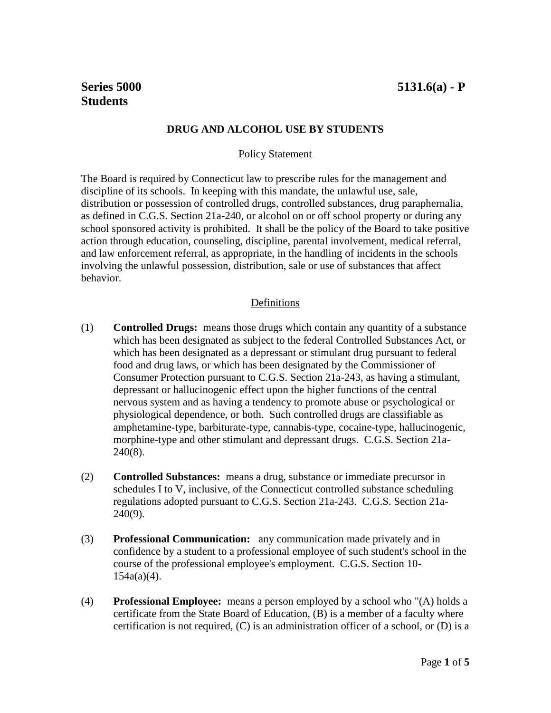**Series 5000 5131.6(a) - P**

## **DRUG AND ALCOHOL USE BY STUDENTS**

#### Policy Statement

The Board is required by Connecticut law to prescribe rules for the management and discipline of its schools. In keeping with this mandate, the unlawful use, sale, distribution or possession of controlled drugs, controlled substances, drug paraphernalia, as defined in C.G.S. Section 21a-240, or alcohol on or off school property or during any school sponsored activity is prohibited. It shall be the policy of the Board to take positive action through education, counseling, discipline, parental involvement, medical referral, and law enforcement referral, as appropriate, in the handling of incidents in the schools involving the unlawful possession, distribution, sale or use of substances that affect behavior.

## Definitions

- (1) **Controlled Drugs:** means those drugs which contain any quantity of a substance which has been designated as subject to the federal Controlled Substances Act, or which has been designated as a depressant or stimulant drug pursuant to federal food and drug laws, or which has been designated by the Commissioner of Consumer Protection pursuant to C.G.S. Section 21a-243, as having a stimulant, depressant or hallucinogenic effect upon the higher functions of the central nervous system and as having a tendency to promote abuse or psychological or physiological dependence, or both. Such controlled drugs are classifiable as amphetamine-type, barbiturate-type, cannabis-type, cocaine-type, hallucinogenic, morphine-type and other stimulant and depressant drugs. C.G.S. Section 21a-240(8).
- (2) **Controlled Substances:** means a drug, substance or immediate precursor in schedules I to V, inclusive, of the Connecticut controlled substance scheduling regulations adopted pursuant to C.G.S. Section 21a-243. C.G.S. Section 21a-240(9).
- (3) **Professional Communication:** any communication made privately and in confidence by a student to a professional employee of such student's school in the course of the professional employee's employment. C.G.S. Section 10- $154a(a)(4)$ .
- (4) **Professional Employee:** means a person employed by a school who "(A) holds a certificate from the State Board of Education, (B) is a member of a faculty where certification is not required, (C) is an administration officer of a school, or (D) is a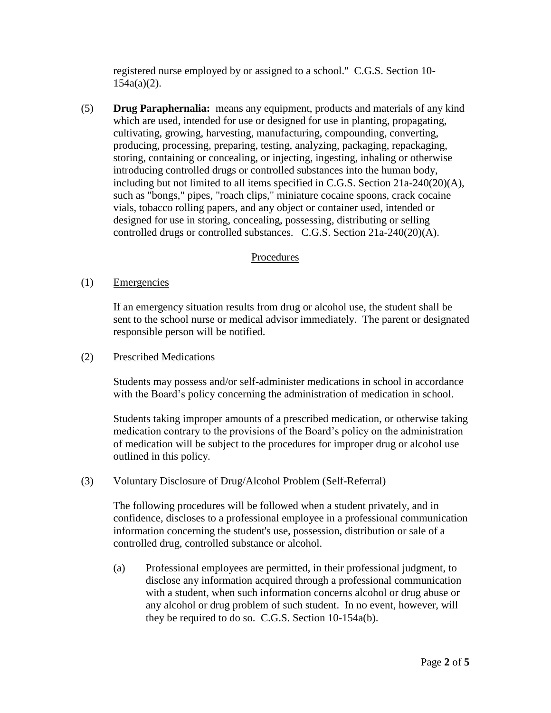registered nurse employed by or assigned to a school." C.G.S. Section 10- 154a(a)(2).

(5) **Drug Paraphernalia:** means any equipment, products and materials of any kind which are used, intended for use or designed for use in planting, propagating, cultivating, growing, harvesting, manufacturing, compounding, converting, producing, processing, preparing, testing, analyzing, packaging, repackaging, storing, containing or concealing, or injecting, ingesting, inhaling or otherwise introducing controlled drugs or controlled substances into the human body, including but not limited to all items specified in C.G.S. Section 21a-240(20)(A), such as "bongs," pipes, "roach clips," miniature cocaine spoons, crack cocaine vials, tobacco rolling papers, and any object or container used, intended or designed for use in storing, concealing, possessing, distributing or selling controlled drugs or controlled substances. C.G.S. Section 21a-240(20)(A).

# Procedures

## (1) Emergencies

If an emergency situation results from drug or alcohol use, the student shall be sent to the school nurse or medical advisor immediately. The parent or designated responsible person will be notified.

#### (2) Prescribed Medications

Students may possess and/or self-administer medications in school in accordance with the Board's policy concerning the administration of medication in school.

Students taking improper amounts of a prescribed medication, or otherwise taking medication contrary to the provisions of the Board's policy on the administration of medication will be subject to the procedures for improper drug or alcohol use outlined in this policy.

#### (3) Voluntary Disclosure of Drug/Alcohol Problem (Self-Referral)

The following procedures will be followed when a student privately, and in confidence, discloses to a professional employee in a professional communication information concerning the student's use, possession, distribution or sale of a controlled drug, controlled substance or alcohol.

(a) Professional employees are permitted, in their professional judgment, to disclose any information acquired through a professional communication with a student, when such information concerns alcohol or drug abuse or any alcohol or drug problem of such student. In no event, however, will they be required to do so. C.G.S. Section 10-154a(b).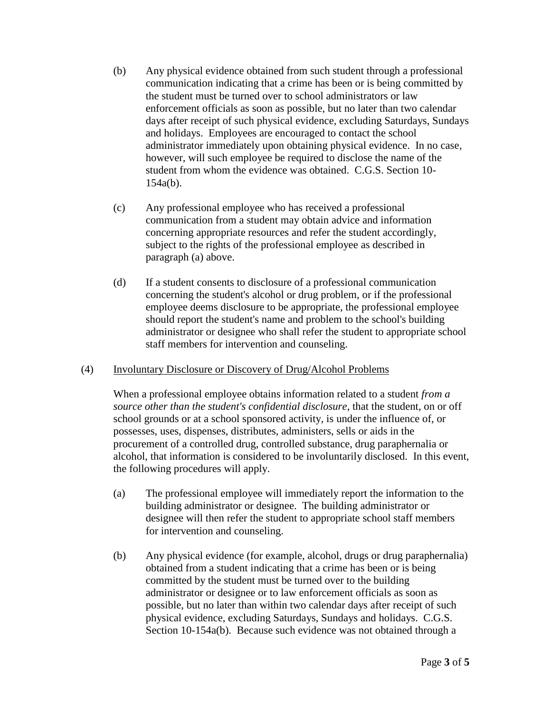- (b) Any physical evidence obtained from such student through a professional communication indicating that a crime has been or is being committed by the student must be turned over to school administrators or law enforcement officials as soon as possible, but no later than two calendar days after receipt of such physical evidence, excluding Saturdays, Sundays and holidays. Employees are encouraged to contact the school administrator immediately upon obtaining physical evidence. In no case, however, will such employee be required to disclose the name of the student from whom the evidence was obtained. C.G.S. Section 10- 154a(b).
- (c) Any professional employee who has received a professional communication from a student may obtain advice and information concerning appropriate resources and refer the student accordingly, subject to the rights of the professional employee as described in paragraph (a) above.
- (d) If a student consents to disclosure of a professional communication concerning the student's alcohol or drug problem, or if the professional employee deems disclosure to be appropriate, the professional employee should report the student's name and problem to the school's building administrator or designee who shall refer the student to appropriate school staff members for intervention and counseling.

## (4) Involuntary Disclosure or Discovery of Drug/Alcohol Problems

When a professional employee obtains information related to a student *from a source other than the student's confidential disclosure*, that the student, on or off school grounds or at a school sponsored activity, is under the influence of, or possesses, uses, dispenses, distributes, administers, sells or aids in the procurement of a controlled drug, controlled substance, drug paraphernalia or alcohol, that information is considered to be involuntarily disclosed. In this event, the following procedures will apply.

- (a) The professional employee will immediately report the information to the building administrator or designee. The building administrator or designee will then refer the student to appropriate school staff members for intervention and counseling.
- (b) Any physical evidence (for example, alcohol, drugs or drug paraphernalia) obtained from a student indicating that a crime has been or is being committed by the student must be turned over to the building administrator or designee or to law enforcement officials as soon as possible, but no later than within two calendar days after receipt of such physical evidence, excluding Saturdays, Sundays and holidays. C.G.S. Section 10-154a(b). Because such evidence was not obtained through a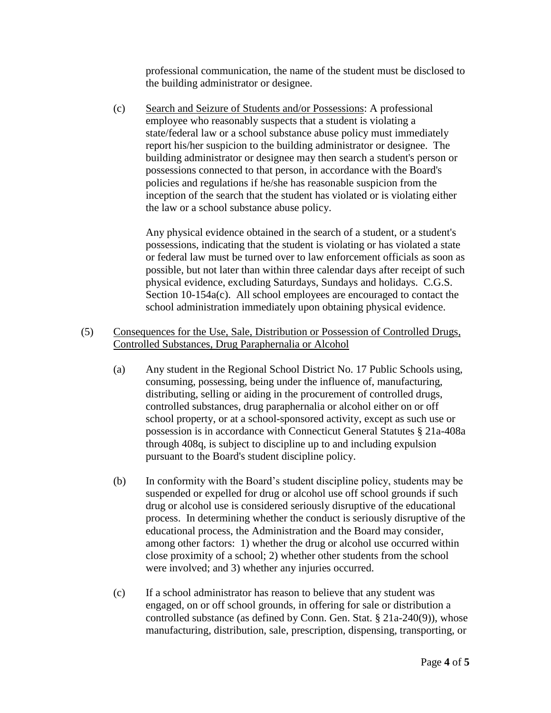professional communication, the name of the student must be disclosed to the building administrator or designee.

(c) Search and Seizure of Students and/or Possessions: A professional employee who reasonably suspects that a student is violating a state/federal law or a school substance abuse policy must immediately report his/her suspicion to the building administrator or designee. The building administrator or designee may then search a student's person or possessions connected to that person, in accordance with the Board's policies and regulations if he/she has reasonable suspicion from the inception of the search that the student has violated or is violating either the law or a school substance abuse policy.

Any physical evidence obtained in the search of a student, or a student's possessions, indicating that the student is violating or has violated a state or federal law must be turned over to law enforcement officials as soon as possible, but not later than within three calendar days after receipt of such physical evidence, excluding Saturdays, Sundays and holidays. C.G.S. Section 10-154a(c). All school employees are encouraged to contact the school administration immediately upon obtaining physical evidence.

#### (5) Consequences for the Use, Sale, Distribution or Possession of Controlled Drugs, Controlled Substances, Drug Paraphernalia or Alcohol

- (a) Any student in the Regional School District No. 17 Public Schools using, consuming, possessing, being under the influence of, manufacturing, distributing, selling or aiding in the procurement of controlled drugs, controlled substances, drug paraphernalia or alcohol either on or off school property, or at a school-sponsored activity, except as such use or possession is in accordance with Connecticut General Statutes § 21a-408a through 408q, is subject to discipline up to and including expulsion pursuant to the Board's student discipline policy.
- (b) In conformity with the Board's student discipline policy, students may be suspended or expelled for drug or alcohol use off school grounds if such drug or alcohol use is considered seriously disruptive of the educational process. In determining whether the conduct is seriously disruptive of the educational process, the Administration and the Board may consider, among other factors: 1) whether the drug or alcohol use occurred within close proximity of a school; 2) whether other students from the school were involved; and 3) whether any injuries occurred.
- (c) If a school administrator has reason to believe that any student was engaged, on or off school grounds, in offering for sale or distribution a controlled substance (as defined by Conn. Gen. Stat. § 21a-240(9)), whose manufacturing, distribution, sale, prescription, dispensing, transporting, or